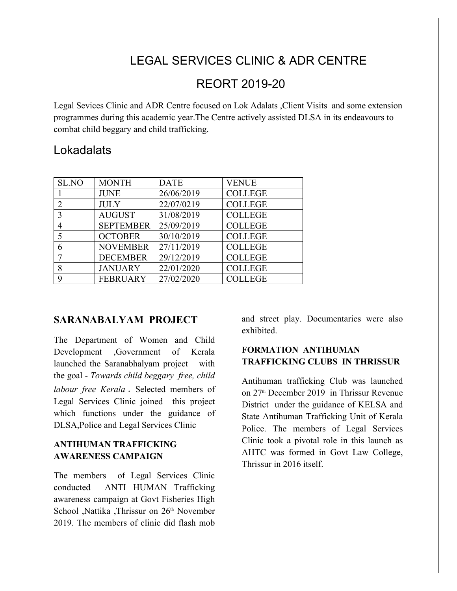# LEGAL SERVICES CLINIC & ADR CENTRE

## REORT 2019-20

Legal Sevices Clinic and ADR Centre focused on Lok Adalats ,Client Visits and some extension programmes during this academic year.The Centre actively assisted DLSA in its endeavours to combat child beggary and child trafficking.

### **Lokadalats**

| SL.NO | <b>MONTH</b>     | <b>DATE</b> | <b>VENUE</b>   |
|-------|------------------|-------------|----------------|
|       | <b>JUNE</b>      | 26/06/2019  | <b>COLLEGE</b> |
|       | <b>JULY</b>      | 22/07/0219  | <b>COLLEGE</b> |
|       | <b>AUGUST</b>    | 31/08/2019  | <b>COLLEGE</b> |
|       | <b>SEPTEMBER</b> | 25/09/2019  | <b>COLLEGE</b> |
|       | <b>OCTOBER</b>   | 30/10/2019  | <b>COLLEGE</b> |
|       | <b>NOVEMBER</b>  | 27/11/2019  | <b>COLLEGE</b> |
|       | <b>DECEMBER</b>  | 29/12/2019  | <b>COLLEGE</b> |
| 8     | <b>JANUARY</b>   | 22/01/2020  | <b>COLLEGE</b> |
| Q     | <b>FEBRUARY</b>  | 27/02/2020  | <b>COLLEGE</b> |

#### **SARANABALYAM PROJECT**

The Department of Women and Child Development ,Government of Kerala launched the Saranabhalyam project with the goal - *Towards child beggary free, child labour free Kerala* . Selected members of Legal Services Clinic joined this project which functions under the guidance of DLSA,Police and Legal Services Clinic

#### **ANTIHUMAN TRAFFICKING AWARENESS CAMPAIGN**

The members of Legal Services Clinic conducted ANTI HUMAN Trafficking awareness campaign at Govt Fisheries High School ,Nattika ,Thrissur on 26<sup>th</sup> November 2019. The members of clinic did flash mob

and street play. Documentaries were also exhibited.

#### **FORMATION ANTIHUMAN TRAFFICKING CLUBS IN THRISSUR**

Antihuman trafficking Club was launched on 27th December 2019 in Thrissur Revenue District under the guidance of KELSA and State Antihuman Trafficking Unit of Kerala Police. The members of Legal Services Clinic took a pivotal role in this launch as AHTC was formed in Govt Law College, Thrissur in 2016 itself.